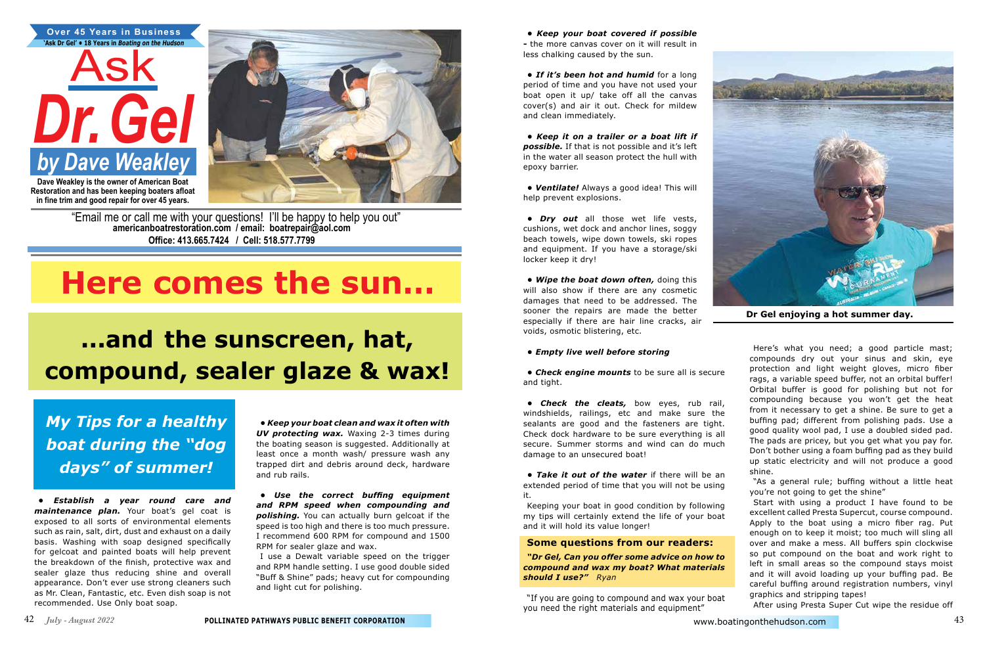**Restoration and has been keeping boaters afloat in fine trim and good repair for over 45 years.**



"Email me or call me with your questions! I'll be happy to help you out" **americanboatrestoration.com / email: boatrepair@aol.com Office: 413.665.7424 / Cell: 518.577.7799**

*• Establish a year round care and maintenance plan.* Your boat's gel coat is exposed to all sorts of environmental elements such as rain, salt, dirt, dust and exhaust on a daily basis. Washing with soap designed specifically for gelcoat and painted boats will help prevent the breakdown of the finish, protective wax and sealer glaze thus reducing shine and overall appearance. Don't ever use strong cleaners such as Mr. Clean, Fantastic, etc. Even dish soap is not recommended. Use Only boat soap.

*• Keep your boat covered if possible -* the more canvas cover on it will result in less chalking caused by the sun.

*• If it's been hot and humid* for a long period of time and you have not used your boat open it up/ take off all the canvas cover(s) and air it out. Check for mildew and clean immediately.

*• Keep it on a trailer or a boat lift if possible.* If that is not possible and it's left in the water all season protect the hull with epoxy barrier.

*• Ventilate!* Always a good idea! This will help prevent explosions.

*• Dry out* all those wet life vests, cushions, wet dock and anchor lines, soggy beach towels, wipe down towels, ski ropes and equipment. If you have a storage/ski locker keep it dry!

*• Wipe the boat down often,* doing this will also show if there are any cosmetic damages that need to be addressed. The sooner the repairs are made the better especially if there are hair line cracks, air voids, osmotic blistering, etc.

#### *• Empty live well before storing*

*• Check engine mounts* to be sure all is secure and tight.

*• Check the cleats,* bow eyes, rub rail, windshields, railings, etc and make sure the sealants are good and the fasteners are tight. Check dock hardware to be sure everything is all secure. Summer storms and wind can do much damage to an unsecured boat!

*• Take it out of the water* if there will be an extended period of time that you will not be using it.

Keeping your boat in good condition by following my tips will certainly extend the life of your boat and it will hold its value longer!

#### **Some questions from our readers:**

*"Dr Gel, Can you offer some advice on how to compound and wax my boat? What materials should I use?" Ryan* 

"If you are going to compound and wax your boat you need the right materials and equipment"

Here's what you need; a good particle mast; compounds dry out your sinus and skin, eye protection and light weight gloves, micro fiber rags, a variable speed buffer, not an orbital buffer! Orbital buffer is good for polishing but not for compounding because you won't get the heat from it necessary to get a shine. Be sure to get a buffing pad; different from polishing pads. Use a good quality wool pad, I use a doubled sided pad. The pads are pricey, but you get what you pay for. Don't bother using a foam buffing pad as they build up static electricity and will not produce a good

shine.

"As a general rule; buffing without a little heat you're not going to get the shine"

Start with using a product I have found to be excellent called Presta Supercut, course compound. Apply to the boat using a micro fiber rag. Put enough on to keep it moist; too much will sling all over and make a mess. All buffers spin clockwise so put compound on the boat and work right to left in small areas so the compound stays moist and it will avoid loading up your buffing pad. Be careful buffing around registration numbers, vinyl graphics and stripping tapes!

After using Presta Super Cut wipe the residue off

# **Here comes the sun…**

## **...and the sunscreen, hat, compound, sealer glaze & wax!**

*My Tips for a healthy boat during the "dog days" of summer!*

*• Keep your boat clean and wax it often with UV protecting wax.* Waxing 2-3 times during the boating season is suggested. Additionally at least once a month wash/ pressure wash any trapped dirt and debris around deck, hardware and rub rails.

*• Use the correct buffing equipment and RPM speed when compounding and polishing.* You can actually burn gelcoat if the speed is too high and there is too much pressure. I recommend 600 RPM for compound and 1500 RPM for sealer glaze and wax.

I use a Dewalt variable speed on the trigger and RPM handle setting. I use good double sided "Buff & Shine" pads; heavy cut for compounding and light cut for polishing.



**Dr Gel enjoying a hot summer day.**